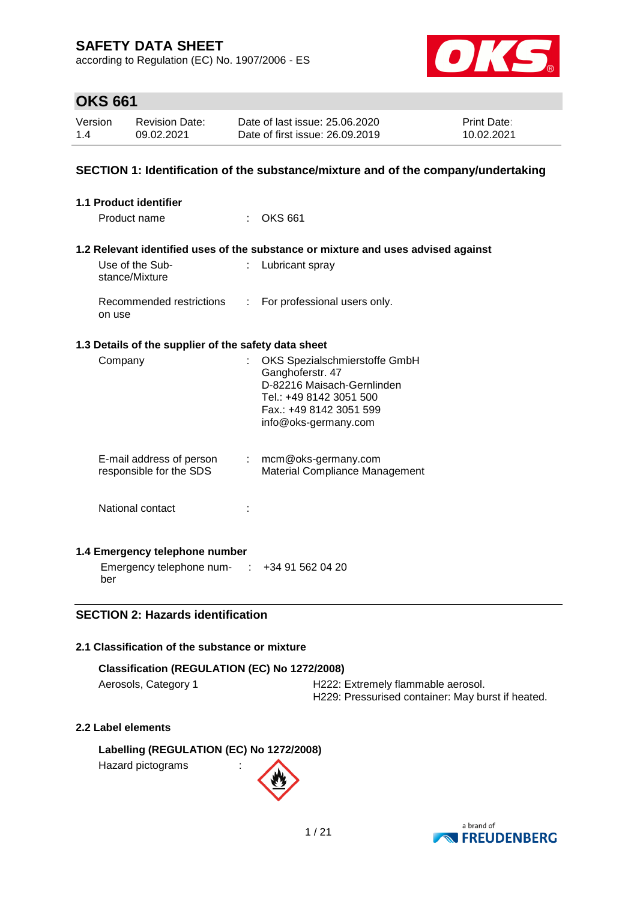according to Regulation (EC) No. 1907/2006 - ES



### **OKS 661**

| Version | <b>Revision Date:</b> | Date of last issue: 25.06.2020  | <b>Print Date:</b> |
|---------|-----------------------|---------------------------------|--------------------|
| 1.4     | 09.02.2021            | Date of first issue: 26,09,2019 | 10.02.2021         |

#### **SECTION 1: Identification of the substance/mixture and of the company/undertaking**

| 1.1 Product identifier                                   |                            |                                                                                                                                                               |
|----------------------------------------------------------|----------------------------|---------------------------------------------------------------------------------------------------------------------------------------------------------------|
| Product name                                             |                            | <b>OKS 661</b>                                                                                                                                                |
|                                                          |                            | 1.2 Relevant identified uses of the substance or mixture and uses advised against                                                                             |
| Use of the Sub-<br>stance/Mixture                        | ÷.                         | Lubricant spray                                                                                                                                               |
| Recommended restrictions<br>on use                       | $\mathbb{R}^n$             | For professional users only.                                                                                                                                  |
| 1.3 Details of the supplier of the safety data sheet     |                            |                                                                                                                                                               |
| Company                                                  |                            | OKS Spezialschmierstoffe GmbH<br>Ganghoferstr. 47<br>D-82216 Maisach-Gernlinden<br>Tel.: +49 8142 3051 500<br>Fax.: +49 8142 3051 599<br>info@oks-germany.com |
| E-mail address of person<br>responsible for the SDS      | $\mathcal{L}^{\text{max}}$ | mcm@oks-germany.com<br>Material Compliance Management                                                                                                         |
| National contact                                         |                            |                                                                                                                                                               |
| 1.4 Emergency telephone number                           |                            |                                                                                                                                                               |
| Emergency telephone num- $\cdot$ +34 91 562 04 20<br>ber |                            |                                                                                                                                                               |

#### **SECTION 2: Hazards identification**

#### **2.1 Classification of the substance or mixture**

| Classification (REGULATION (EC) No 1272/2008) |                                    |  |  |  |  |
|-----------------------------------------------|------------------------------------|--|--|--|--|
| Aerosols, Category 1                          | H222: Extremely flammable aerosol. |  |  |  |  |

H229: Pressurised container: May burst if heated.

#### **2.2 Label elements**

**Labelling (REGULATION (EC) No 1272/2008)** Hazard pictograms :

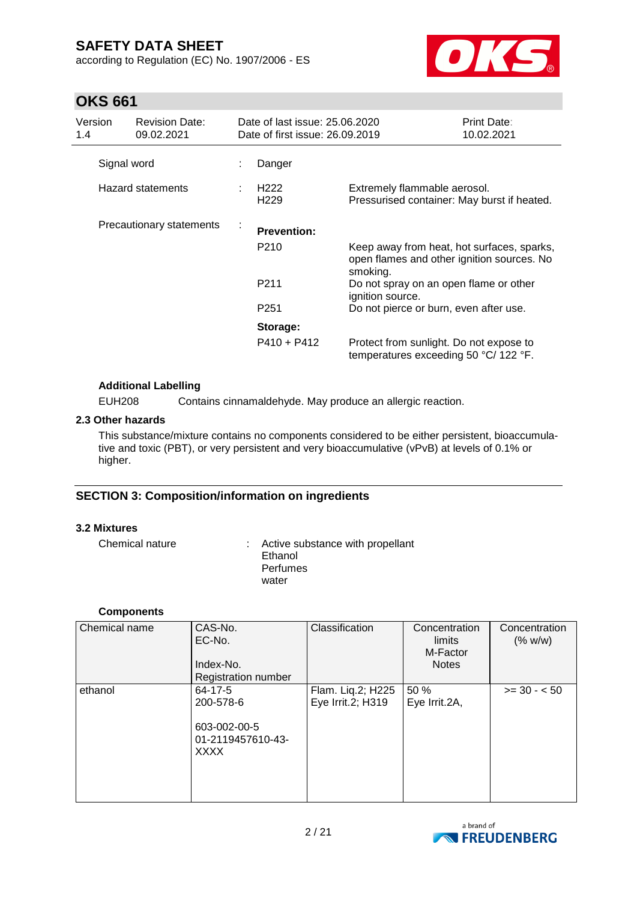according to Regulation (EC) No. 1907/2006 - ES



# **OKS 661**

| Version<br>1.4 | <b>Revision Date:</b><br>09.02.2021 |   | Date of last issue: 25.06.2020<br>Date of first issue: 26.09.2019 |                                                                                                      | Print Date:<br>10.02.2021 |
|----------------|-------------------------------------|---|-------------------------------------------------------------------|------------------------------------------------------------------------------------------------------|---------------------------|
|                | Signal word                         |   | Danger                                                            |                                                                                                      |                           |
|                | Hazard statements                   |   | H <sub>222</sub><br>H <sub>229</sub>                              | Extremely flammable aerosol.<br>Pressurised container: May burst if heated.                          |                           |
|                | Precautionary statements            | ÷ | <b>Prevention:</b>                                                |                                                                                                      |                           |
|                |                                     |   | P <sub>210</sub>                                                  | Keep away from heat, hot surfaces, sparks,<br>open flames and other ignition sources. No<br>smoking. |                           |
|                |                                     |   | P <sub>211</sub>                                                  | Do not spray on an open flame or other<br>ignition source.                                           |                           |
|                |                                     |   | P <sub>251</sub>                                                  | Do not pierce or burn, even after use.                                                               |                           |
|                |                                     |   | Storage:                                                          |                                                                                                      |                           |
|                |                                     |   | $P410 + P412$                                                     | Protect from sunlight. Do not expose to<br>temperatures exceeding 50 °C/ 122 °F.                     |                           |

#### **Additional Labelling**

EUH208 Contains cinnamaldehyde. May produce an allergic reaction.

#### **2.3 Other hazards**

This substance/mixture contains no components considered to be either persistent, bioaccumulative and toxic (PBT), or very persistent and very bioaccumulative (vPvB) at levels of 0.1% or higher.

#### **SECTION 3: Composition/information on ingredients**

#### **3.2 Mixtures**

Chemical nature : Active substance with propellant Ethanol **Perfumes** water

#### **Components**

| Chemical name | CAS-No.<br>EC-No.<br>Index-No.<br><b>Registration number</b>                   | Classification                         | Concentration<br>limits<br>M-Factor<br><b>Notes</b> | Concentration<br>(% w/w) |
|---------------|--------------------------------------------------------------------------------|----------------------------------------|-----------------------------------------------------|--------------------------|
| ethanol       | $64 - 17 - 5$<br>200-578-6<br>603-002-00-5<br>01-2119457610-43-<br><b>XXXX</b> | Flam. Liq.2; H225<br>Eye Irrit.2; H319 | 50 %<br>Eye Irrit.2A,                               | $>= 30 - 50$             |

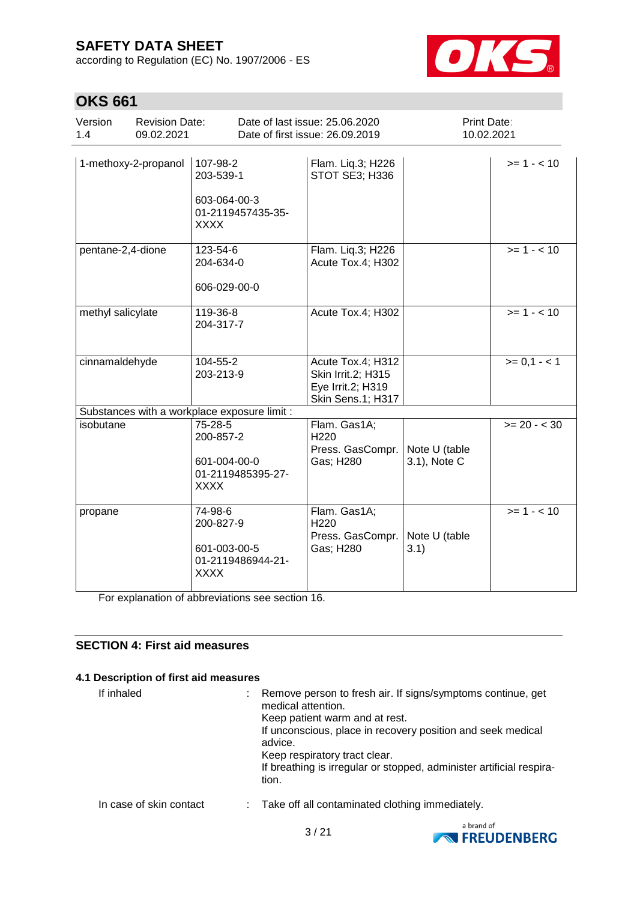according to Regulation (EC) No. 1907/2006 - ES



# **OKS 661**

| Version<br>1.4    | <b>Revision Date:</b><br>09.02.2021 |                                                                           | Date of last issue: 25.06.2020<br>Date of first issue: 26.09.2019                 | Print Date:<br>10.02.2021     |                |
|-------------------|-------------------------------------|---------------------------------------------------------------------------|-----------------------------------------------------------------------------------|-------------------------------|----------------|
|                   | 1-methoxy-2-propanol                | 107-98-2<br>203-539-1<br>603-064-00-3<br>01-2119457435-35-<br><b>XXXX</b> | Flam. Liq.3; H226<br>STOT SE3; H336                                               |                               | $>= 1 - 10$    |
| pentane-2,4-dione |                                     | 123-54-6<br>204-634-0<br>606-029-00-0                                     | Flam. Liq.3; H226<br>Acute Tox.4; H302                                            |                               | $>= 1 - 10$    |
| methyl salicylate |                                     | 119-36-8<br>204-317-7                                                     | Acute Tox.4; H302                                                                 |                               | $>= 1 - 10$    |
| cinnamaldehyde    |                                     | 104-55-2<br>203-213-9                                                     | Acute Tox.4; H312<br>Skin Irrit.2; H315<br>Eye Irrit.2; H319<br>Skin Sens.1; H317 |                               | $>= 0, 1 - 1$  |
|                   |                                     | Substances with a workplace exposure limit :                              |                                                                                   |                               |                |
| isobutane         |                                     | 75-28-5<br>200-857-2<br>601-004-00-0<br>01-2119485395-27-<br><b>XXXX</b>  | Flam. Gas1A;<br>H220<br>Press. GasCompr.<br>Gas; H280                             | Note U (table<br>3.1), Note C | $>= 20 - < 30$ |
| propane           |                                     | 74-98-6<br>200-827-9<br>601-003-00-5<br>01-2119486944-21-<br><b>XXXX</b>  | Flam. Gas1A;<br>H <sub>220</sub><br>Press. GasCompr.<br>Gas; H280                 | Note U (table<br>3.1)         | $>= 1 - 10$    |

For explanation of abbreviations see section 16.

#### **SECTION 4: First aid measures**

#### **4.1 Description of first aid measures**

If inhaled : Remove person to fresh air. If signs/symptoms continue, get medical attention. Keep patient warm and at rest. If unconscious, place in recovery position and seek medical advice. Keep respiratory tract clear. If breathing is irregular or stopped, administer artificial respiration. In case of skin contact : Take off all contaminated clothing immediately.

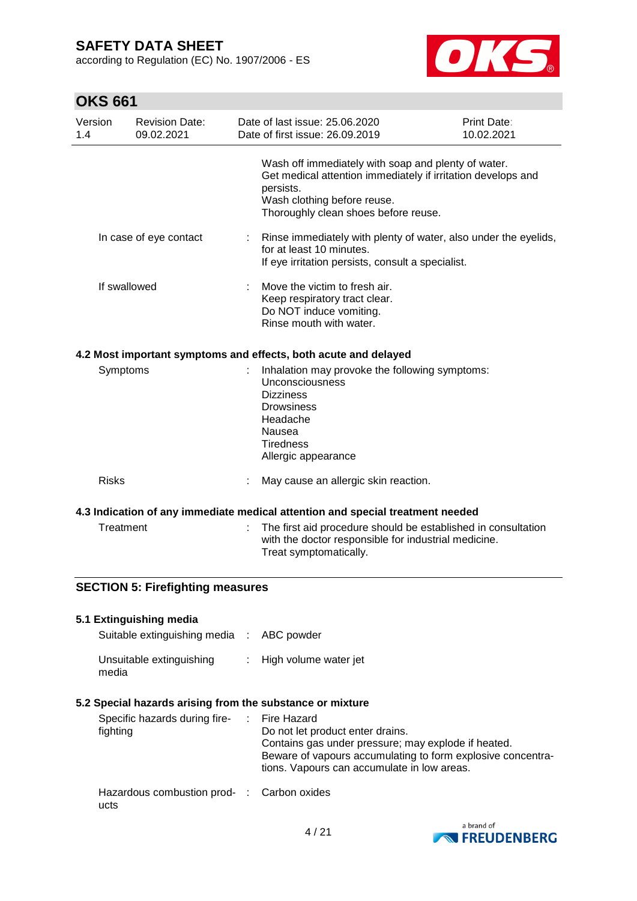according to Regulation (EC) No. 1907/2006 - ES



# **OKS 661**

ucts

| Version<br>1.4 |              | <b>Revision Date:</b><br>09.02.2021     |    | Date of last issue: 25.06.2020<br>Date of first issue: 26.09.2019                                                                                                                                                           | <b>Print Date:</b><br>10.02.2021 |
|----------------|--------------|-----------------------------------------|----|-----------------------------------------------------------------------------------------------------------------------------------------------------------------------------------------------------------------------------|----------------------------------|
|                |              |                                         |    | Wash off immediately with soap and plenty of water.<br>Get medical attention immediately if irritation develops and<br>persists.<br>Wash clothing before reuse.<br>Thoroughly clean shoes before reuse.                     |                                  |
|                |              | In case of eye contact                  | t. | Rinse immediately with plenty of water, also under the eyelids,<br>for at least 10 minutes.<br>If eye irritation persists, consult a specialist.                                                                            |                                  |
|                | If swallowed |                                         |    | Move the victim to fresh air.<br>Keep respiratory tract clear.<br>Do NOT induce vomiting.<br>Rinse mouth with water.                                                                                                        |                                  |
|                |              |                                         |    | 4.2 Most important symptoms and effects, both acute and delayed                                                                                                                                                             |                                  |
|                | Symptoms     |                                         |    | Inhalation may provoke the following symptoms:<br><b>Unconsciousness</b><br><b>Dizziness</b><br><b>Drowsiness</b><br>Headache<br>Nausea<br><b>Tiredness</b><br>Allergic appearance                                          |                                  |
|                | <b>Risks</b> |                                         |    | May cause an allergic skin reaction.                                                                                                                                                                                        |                                  |
|                |              |                                         |    | 4.3 Indication of any immediate medical attention and special treatment needed                                                                                                                                              |                                  |
|                | Treatment    |                                         |    | The first aid procedure should be established in consultation<br>with the doctor responsible for industrial medicine.<br>Treat symptomatically.                                                                             |                                  |
|                |              | <b>SECTION 5: Firefighting measures</b> |    |                                                                                                                                                                                                                             |                                  |
|                |              | 5.1 Extinguishing media                 |    |                                                                                                                                                                                                                             |                                  |
|                |              | Suitable extinguishing media :          |    | ABC powder                                                                                                                                                                                                                  |                                  |
|                | media        | Unsuitable extinguishing                |    | High volume water jet                                                                                                                                                                                                       |                                  |
|                |              |                                         |    | 5.2 Special hazards arising from the substance or mixture                                                                                                                                                                   |                                  |
|                | fighting     | Specific hazards during fire-           |    | <b>Fire Hazard</b><br>Do not let product enter drains.<br>Contains gas under pressure; may explode if heated.<br>Beware of vapours accumulating to form explosive concentra-<br>tions. Vapours can accumulate in low areas. |                                  |
|                |              | Hazardous combustion prod- :            |    | Carbon oxides                                                                                                                                                                                                               |                                  |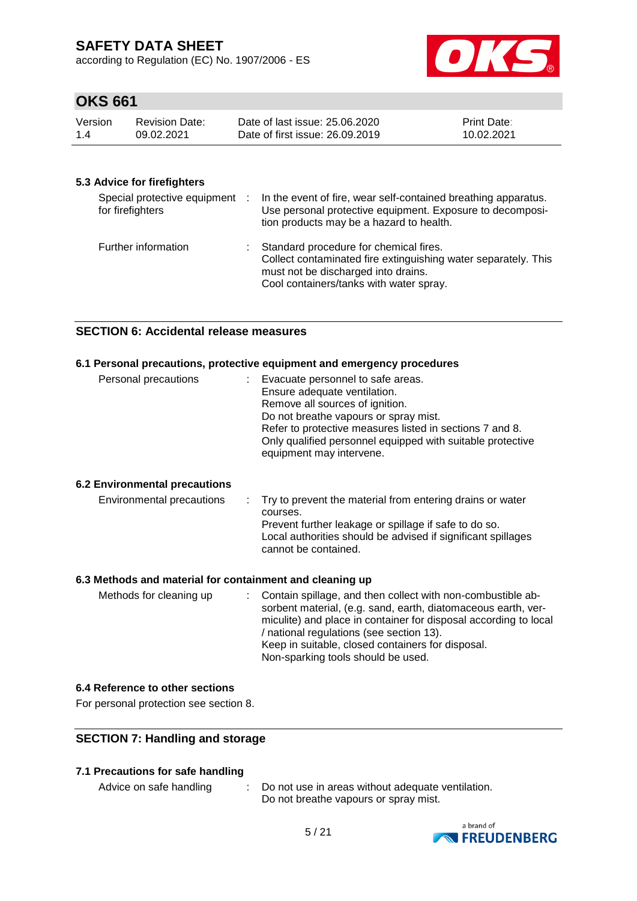according to Regulation (EC) No. 1907/2006 - ES



## **OKS 661**

| Version | <b>Revision Date:</b> | Date of last issue: 25,06,2020  | <b>Print Date:</b> |
|---------|-----------------------|---------------------------------|--------------------|
| 1.4     | 09.02.2021            | Date of first issue: 26,09,2019 | 10.02.2021         |

#### **5.3 Advice for firefighters**

| Special protective equipment :<br>for firefighters | In the event of fire, wear self-contained breathing apparatus.<br>Use personal protective equipment. Exposure to decomposi-<br>tion products may be a hazard to health.                      |
|----------------------------------------------------|----------------------------------------------------------------------------------------------------------------------------------------------------------------------------------------------|
| Further information                                | : Standard procedure for chemical fires.<br>Collect contaminated fire extinguishing water separately. This<br>must not be discharged into drains.<br>Cool containers/tanks with water spray. |

#### **SECTION 6: Accidental release measures**

#### **6.1 Personal precautions, protective equipment and emergency procedures**

| Personal precautions | : Evacuate personnel to safe areas.<br>Ensure adequate ventilation.<br>Remove all sources of ignition.<br>Do not breathe vapours or spray mist.<br>Refer to protective measures listed in sections 7 and 8.<br>Only qualified personnel equipped with suitable protective<br>equipment may intervene. |
|----------------------|-------------------------------------------------------------------------------------------------------------------------------------------------------------------------------------------------------------------------------------------------------------------------------------------------------|
|----------------------|-------------------------------------------------------------------------------------------------------------------------------------------------------------------------------------------------------------------------------------------------------------------------------------------------------|

#### **6.2 Environmental precautions**

|  | Environmental precautions |  | $\therefore$ Try to prevent the material from entering drains or water<br>courses.<br>Prevent further leakage or spillage if safe to do so.<br>Local authorities should be advised if significant spillages<br>cannot be contained. |
|--|---------------------------|--|-------------------------------------------------------------------------------------------------------------------------------------------------------------------------------------------------------------------------------------|
|--|---------------------------|--|-------------------------------------------------------------------------------------------------------------------------------------------------------------------------------------------------------------------------------------|

#### **6.3 Methods and material for containment and cleaning up**

| Methods for cleaning up | : Contain spillage, and then collect with non-combustible ab-    |
|-------------------------|------------------------------------------------------------------|
|                         | sorbent material, (e.g. sand, earth, diatomaceous earth, ver-    |
|                         | miculite) and place in container for disposal according to local |
|                         | / national regulations (see section 13).                         |
|                         | Keep in suitable, closed containers for disposal.                |
|                         | Non-sparking tools should be used.                               |

#### **6.4 Reference to other sections**

For personal protection see section 8.

#### **SECTION 7: Handling and storage**

#### **7.1 Precautions for safe handling**

Advice on safe handling : Do not use in areas without adequate ventilation. Do not breathe vapours or spray mist.

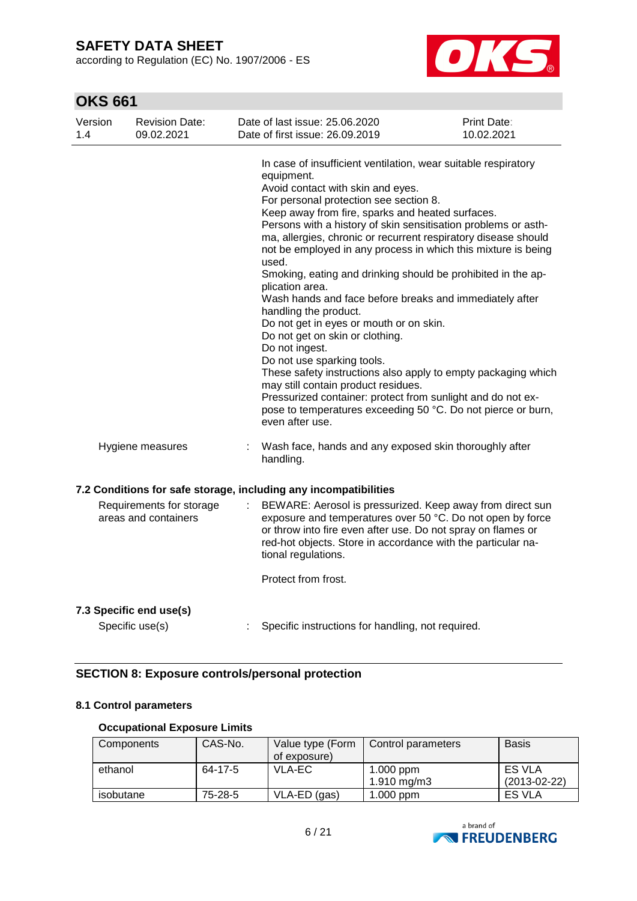according to Regulation (EC) No. 1907/2006 - ES



# **OKS 661**

| Version<br>1.4 | <b>Revision Date:</b><br>09.02.2021              |   | Date of last issue: 25.06.2020<br>Date of first issue: 26.09.2019                                                                                                                                                                                                                                                                                                                                                                                                                                                                                                                                                                                                                                                                                                                                                                                                                                                                                                                            | Print Date:<br>10.02.2021 |
|----------------|--------------------------------------------------|---|----------------------------------------------------------------------------------------------------------------------------------------------------------------------------------------------------------------------------------------------------------------------------------------------------------------------------------------------------------------------------------------------------------------------------------------------------------------------------------------------------------------------------------------------------------------------------------------------------------------------------------------------------------------------------------------------------------------------------------------------------------------------------------------------------------------------------------------------------------------------------------------------------------------------------------------------------------------------------------------------|---------------------------|
|                |                                                  |   | In case of insufficient ventilation, wear suitable respiratory<br>equipment.<br>Avoid contact with skin and eyes.<br>For personal protection see section 8.<br>Keep away from fire, sparks and heated surfaces.<br>Persons with a history of skin sensitisation problems or asth-<br>ma, allergies, chronic or recurrent respiratory disease should<br>not be employed in any process in which this mixture is being<br>used.<br>Smoking, eating and drinking should be prohibited in the ap-<br>plication area.<br>Wash hands and face before breaks and immediately after<br>handling the product.<br>Do not get in eyes or mouth or on skin.<br>Do not get on skin or clothing.<br>Do not ingest.<br>Do not use sparking tools.<br>These safety instructions also apply to empty packaging which<br>may still contain product residues.<br>Pressurized container: protect from sunlight and do not ex-<br>pose to temperatures exceeding 50 °C. Do not pierce or burn,<br>even after use. |                           |
|                | Hygiene measures                                 | ÷ | Wash face, hands and any exposed skin thoroughly after<br>handling.                                                                                                                                                                                                                                                                                                                                                                                                                                                                                                                                                                                                                                                                                                                                                                                                                                                                                                                          |                           |
|                |                                                  |   | 7.2 Conditions for safe storage, including any incompatibilities                                                                                                                                                                                                                                                                                                                                                                                                                                                                                                                                                                                                                                                                                                                                                                                                                                                                                                                             |                           |
|                | Requirements for storage<br>areas and containers |   | BEWARE: Aerosol is pressurized. Keep away from direct sun<br>exposure and temperatures over 50 °C. Do not open by force<br>or throw into fire even after use. Do not spray on flames or<br>red-hot objects. Store in accordance with the particular na-<br>tional regulations.                                                                                                                                                                                                                                                                                                                                                                                                                                                                                                                                                                                                                                                                                                               |                           |
|                |                                                  |   | Protect from frost.                                                                                                                                                                                                                                                                                                                                                                                                                                                                                                                                                                                                                                                                                                                                                                                                                                                                                                                                                                          |                           |
|                | 7.3 Specific end use(s)<br>Specific use(s)       |   | Specific instructions for handling, not required.                                                                                                                                                                                                                                                                                                                                                                                                                                                                                                                                                                                                                                                                                                                                                                                                                                                                                                                                            |                           |

### **SECTION 8: Exposure controls/personal protection**

#### **8.1 Control parameters**

#### **Occupational Exposure Limits**

| Components | CAS-No. | Value type (Form<br>of exposure) | Control parameters           | <b>Basis</b>                    |
|------------|---------|----------------------------------|------------------------------|---------------------------------|
| ethanol    | 64-17-5 | VLA-EC                           | $1.000$ ppm<br>1.910 $mg/m3$ | <b>ES VLA</b><br>$(2013-02-22)$ |
| isobutane  | 75-28-5 | VLA-ED (gas)                     | $1.000$ ppm                  | ES VLA                          |

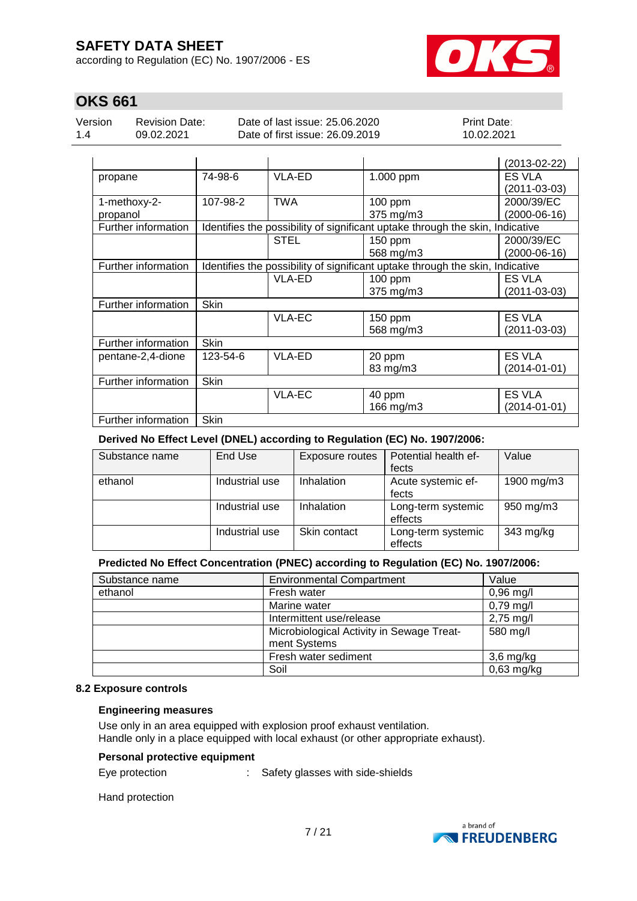according to Regulation (EC) No. 1907/2006 - ES



# **OKS 661**

| Version |  |
|---------|--|
| 14      |  |

Revision Date: 09.02.2021

Date of last issue: 25.06.2020 Date of first issue: 26.09.2019 Print Date: 10.02.2021

|                     |             |                                                                               |                                                                               | $(2013-02-22)$               |  |  |  |
|---------------------|-------------|-------------------------------------------------------------------------------|-------------------------------------------------------------------------------|------------------------------|--|--|--|
| propane             | 74-98-6     | VLA-ED                                                                        | 1.000 ppm                                                                     | ES VLA<br>$(2011 - 03 - 03)$ |  |  |  |
| 1-methoxy-2-        | 107-98-2    | <b>TWA</b>                                                                    | 100 ppm                                                                       | 2000/39/EC                   |  |  |  |
| propanol            |             |                                                                               | 375 mg/m3                                                                     | $(2000-06-16)$               |  |  |  |
| Further information |             |                                                                               | Identifies the possibility of significant uptake through the skin, Indicative |                              |  |  |  |
|                     |             | <b>STEL</b>                                                                   | 150 ppm                                                                       | 2000/39/EC                   |  |  |  |
|                     |             |                                                                               | 568 mg/m3                                                                     | $(2000-06-16)$               |  |  |  |
| Further information |             | Identifies the possibility of significant uptake through the skin, Indicative |                                                                               |                              |  |  |  |
|                     |             | VLA-ED                                                                        | $100$ ppm                                                                     | <b>ES VLA</b>                |  |  |  |
|                     |             |                                                                               | 375 mg/m3                                                                     | $(2011 - 03 - 03)$           |  |  |  |
| Further information | <b>Skin</b> |                                                                               |                                                                               |                              |  |  |  |
|                     |             | VLA-EC                                                                        | 150 ppm                                                                       | ES VLA                       |  |  |  |
|                     |             |                                                                               | 568 mg/m3                                                                     | $(2011 - 03 - 03)$           |  |  |  |
| Further information | <b>Skin</b> |                                                                               |                                                                               |                              |  |  |  |
| pentane-2,4-dione   | 123-54-6    | VLA-ED                                                                        | 20 ppm                                                                        | <b>ES VLA</b>                |  |  |  |
|                     |             |                                                                               | 83 mg/m3                                                                      | $(2014 - 01 - 01)$           |  |  |  |
| Further information | <b>Skin</b> |                                                                               |                                                                               |                              |  |  |  |
|                     |             | VLA-EC                                                                        | 40 ppm                                                                        | ES VLA                       |  |  |  |
|                     |             |                                                                               | 166 mg/m3                                                                     | $(2014 - 01 - 01)$           |  |  |  |
| Further information | Skin        |                                                                               |                                                                               |                              |  |  |  |

#### **Derived No Effect Level (DNEL) according to Regulation (EC) No. 1907/2006:**

| Substance name | End Use        | Exposure routes | Potential health ef- | Value      |
|----------------|----------------|-----------------|----------------------|------------|
|                |                |                 | fects                |            |
| ethanol        | Industrial use | Inhalation      | Acute systemic ef-   | 1900 mg/m3 |
|                |                |                 | fects                |            |
|                | Industrial use | Inhalation      | Long-term systemic   | 950 mg/m3  |
|                |                |                 | effects              |            |
|                | Industrial use | Skin contact    | Long-term systemic   | 343 mg/kg  |
|                |                |                 | effects              |            |

### **Predicted No Effect Concentration (PNEC) according to Regulation (EC) No. 1907/2006:**

| <b>Environmental Compartment</b><br>Substance name |                                           | Value        |
|----------------------------------------------------|-------------------------------------------|--------------|
| ethanol                                            | Fresh water                               | $0,96$ mg/l  |
|                                                    | Marine water                              | $0,79$ mg/l  |
|                                                    | Intermittent use/release                  | $2,75$ mg/l  |
|                                                    | Microbiological Activity in Sewage Treat- | 580 mg/l     |
|                                                    | ment Systems                              |              |
|                                                    | Fresh water sediment                      | $3,6$ mg/kg  |
|                                                    | Soil                                      | $0,63$ mg/kg |

#### **8.2 Exposure controls**

#### **Engineering measures**

Use only in an area equipped with explosion proof exhaust ventilation. Handle only in a place equipped with local exhaust (or other appropriate exhaust).

#### **Personal protective equipment**

Eye protection : Safety glasses with side-shields

Hand protection

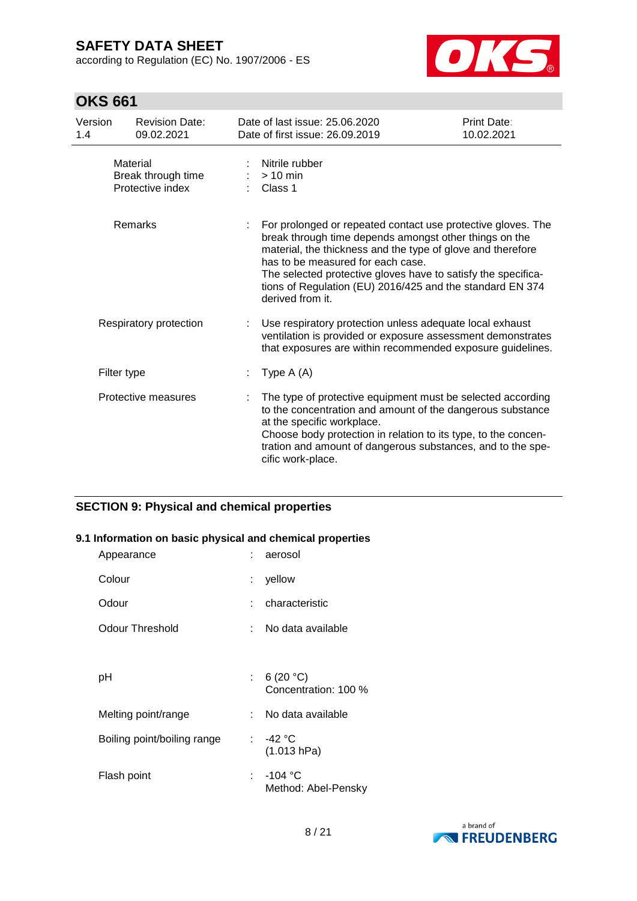according to Regulation (EC) No. 1907/2006 - ES



# **OKS 661**

| Version<br>1.4 | <b>Revision Date:</b><br>09.02.2021                | Date of last issue: 25,06,2020<br>Date of first issue: 26.09.2019                                                                                                                                                                                                                                                                                                            | Print Date:<br>10.02.2021 |
|----------------|----------------------------------------------------|------------------------------------------------------------------------------------------------------------------------------------------------------------------------------------------------------------------------------------------------------------------------------------------------------------------------------------------------------------------------------|---------------------------|
|                | Material<br>Break through time<br>Protective index | Nitrile rubber<br>$> 10$ min<br>Class 1                                                                                                                                                                                                                                                                                                                                      |                           |
|                | Remarks                                            | For prolonged or repeated contact use protective gloves. The<br>break through time depends amongst other things on the<br>material, the thickness and the type of glove and therefore<br>has to be measured for each case.<br>The selected protective gloves have to satisfy the specifica-<br>tions of Regulation (EU) 2016/425 and the standard EN 374<br>derived from it. |                           |
|                | Respiratory protection                             | Use respiratory protection unless adequate local exhaust<br>ventilation is provided or exposure assessment demonstrates<br>that exposures are within recommended exposure guidelines.                                                                                                                                                                                        |                           |
|                | Filter type                                        | Type $A(A)$                                                                                                                                                                                                                                                                                                                                                                  |                           |
|                | Protective measures                                | The type of protective equipment must be selected according<br>to the concentration and amount of the dangerous substance<br>at the specific workplace.<br>Choose body protection in relation to its type, to the concen-<br>tration and amount of dangerous substances, and to the spe-<br>cific work-place.                                                                |                           |

### **SECTION 9: Physical and chemical properties**

#### **9.1 Information on basic physical and chemical properties**

| Appearance                  | aerosol<br>t.                             |
|-----------------------------|-------------------------------------------|
| Colour                      | yellow<br>t.                              |
| Odour                       | characteristic<br>t.                      |
| Odour Threshold             | No data available<br>t.                   |
|                             |                                           |
| рH                          | 6 $(20 °C)$<br>t.<br>Concentration: 100 % |
| Melting point/range         | No data available<br>t.                   |
| Boiling point/boiling range | : -42 °C<br>(1.013 hPa)                   |
| Flash point                 | $-104 °C$<br>t.<br>Method: Abel-Pensky    |

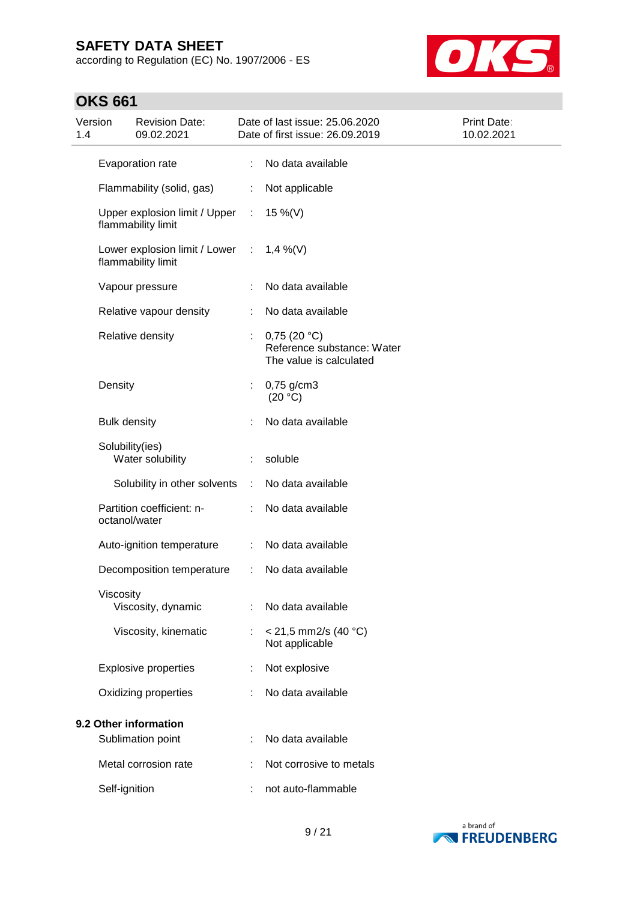according to Regulation (EC) No. 1907/2006 - ES



# **OKS 661**

| Version<br>1.4        |                     | <b>Revision Date:</b><br>09.02.2021                 |                             | Date of last issue: 25.06.2020<br>Date of first issue: 26.09.2019    | Print Date:<br>10.02.2021 |
|-----------------------|---------------------|-----------------------------------------------------|-----------------------------|----------------------------------------------------------------------|---------------------------|
|                       |                     | Evaporation rate                                    |                             | No data available                                                    |                           |
|                       |                     | Flammability (solid, gas)                           |                             | Not applicable                                                       |                           |
|                       |                     | Upper explosion limit / Upper<br>flammability limit | $\mathcal{I}^{\mathcal{I}}$ | 15 %(V)                                                              |                           |
|                       |                     | Lower explosion limit / Lower<br>flammability limit | ÷                           | $1,4\%$ (V)                                                          |                           |
|                       |                     | Vapour pressure                                     | ÷                           | No data available                                                    |                           |
|                       |                     | Relative vapour density                             |                             | No data available                                                    |                           |
|                       |                     | Relative density                                    |                             | 0,75(20 °C)<br>Reference substance: Water<br>The value is calculated |                           |
|                       | Density             |                                                     | t.                          | 0,75 g/cm3<br>(20 °C)                                                |                           |
|                       | <b>Bulk density</b> |                                                     |                             | No data available                                                    |                           |
|                       |                     | Solubility(ies)<br>Water solubility                 |                             | soluble                                                              |                           |
|                       |                     | Solubility in other solvents                        | ÷                           | No data available                                                    |                           |
|                       |                     | Partition coefficient: n-<br>octanol/water          |                             | No data available                                                    |                           |
|                       |                     | Auto-ignition temperature                           | ÷.                          | No data available                                                    |                           |
|                       |                     | Decomposition temperature                           | ÷                           | No data available                                                    |                           |
|                       | Viscosity           | Viscosity, dynamic                                  |                             | No data available                                                    |                           |
|                       |                     | Viscosity, kinematic                                |                             | $< 21,5$ mm2/s (40 °C)<br>Not applicable                             |                           |
|                       |                     | <b>Explosive properties</b>                         |                             | Not explosive                                                        |                           |
|                       |                     | Oxidizing properties                                |                             | No data available                                                    |                           |
| 9.2 Other information |                     |                                                     |                             |                                                                      |                           |
|                       |                     | Sublimation point                                   |                             | No data available                                                    |                           |
|                       |                     | Metal corrosion rate                                |                             | Not corrosive to metals                                              |                           |
|                       | Self-ignition       |                                                     |                             | not auto-flammable                                                   |                           |

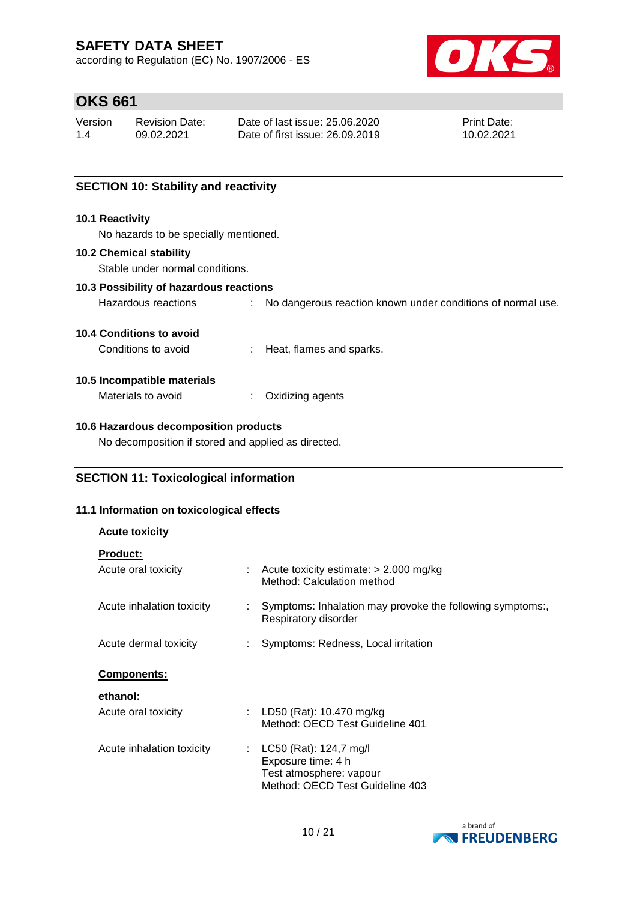according to Regulation (EC) No. 1907/2006 - ES



# **OKS 661**

| Version | Revision Date: | Date of last issue: 25.06.2020  | <b>Print Date:</b> |
|---------|----------------|---------------------------------|--------------------|
| 1.4     | 09.02.2021     | Date of first issue: 26.09.2019 | 10.02.2021         |

#### **SECTION 10: Stability and reactivity**

#### **10.1 Reactivity**

No hazards to be specially mentioned.

#### **10.2 Chemical stability**

Stable under normal conditions.

#### **10.3 Possibility of hazardous reactions**

Hazardous reactions : No dangerous reaction known under conditions of normal use.

#### **10.4 Conditions to avoid**

Conditions to avoid : Heat, flames and sparks.

#### **10.5 Incompatible materials**

| Materials to avoid | Oxidizing agents |
|--------------------|------------------|
|--------------------|------------------|

#### **10.6 Hazardous decomposition products**

No decomposition if stored and applied as directed.

#### **SECTION 11: Toxicological information**

#### **11.1 Information on toxicological effects**

| <b>Acute toxicity</b>                  |  |                                                                                                              |  |  |
|----------------------------------------|--|--------------------------------------------------------------------------------------------------------------|--|--|
| <b>Product:</b><br>Acute oral toxicity |  | $\therefore$ Acute toxicity estimate: $>$ 2.000 mg/kg<br>Method: Calculation method                          |  |  |
| Acute inhalation toxicity              |  | Symptoms: Inhalation may provoke the following symptoms:,<br>Respiratory disorder                            |  |  |
| Acute dermal toxicity                  |  | Symptoms: Redness, Local irritation                                                                          |  |  |
| <b>Components:</b>                     |  |                                                                                                              |  |  |
| ethanol:                               |  |                                                                                                              |  |  |
| Acute oral toxicity                    |  | : LD50 (Rat): 10.470 mg/kg<br>Method: OECD Test Guideline 401                                                |  |  |
| Acute inhalation toxicity              |  | : LC50 (Rat): 124,7 mg/l<br>Exposure time: 4 h<br>Test atmosphere: vapour<br>Method: OECD Test Guideline 403 |  |  |

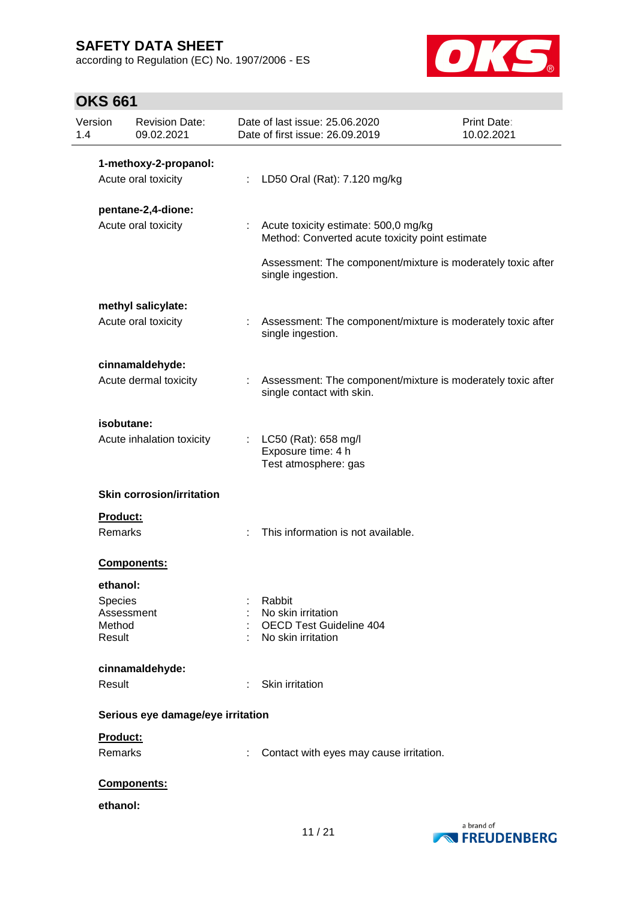according to Regulation (EC) No. 1907/2006 - ES



# **OKS 661**

| Version<br>1.4 | <b>Revision Date:</b><br>09.02.2021 |    | Date of last issue: 25.06.2020<br>Date of first issue: 26.09.2019                        | Print Date:<br>10.02.2021 |
|----------------|-------------------------------------|----|------------------------------------------------------------------------------------------|---------------------------|
|                | 1-methoxy-2-propanol:               |    |                                                                                          |                           |
|                | Acute oral toxicity                 | ÷. | LD50 Oral (Rat): 7.120 mg/kg                                                             |                           |
|                | pentane-2,4-dione:                  |    |                                                                                          |                           |
|                | Acute oral toxicity                 |    | Acute toxicity estimate: 500,0 mg/kg<br>Method: Converted acute toxicity point estimate  |                           |
|                |                                     |    | Assessment: The component/mixture is moderately toxic after<br>single ingestion.         |                           |
|                | methyl salicylate:                  |    |                                                                                          |                           |
|                | Acute oral toxicity                 |    | Assessment: The component/mixture is moderately toxic after<br>single ingestion.         |                           |
|                | cinnamaldehyde:                     |    |                                                                                          |                           |
|                | Acute dermal toxicity               | ÷  | Assessment: The component/mixture is moderately toxic after<br>single contact with skin. |                           |
|                | isobutane:                          |    |                                                                                          |                           |
|                | Acute inhalation toxicity           |    | LC50 (Rat): 658 mg/l<br>Exposure time: 4 h<br>Test atmosphere: gas                       |                           |
|                | <b>Skin corrosion/irritation</b>    |    |                                                                                          |                           |
| Product:       |                                     |    |                                                                                          |                           |
| Remarks        |                                     |    | This information is not available.                                                       |                           |
|                | Components:                         |    |                                                                                          |                           |
| ethanol:       |                                     |    |                                                                                          |                           |
| Species        |                                     |    | Rabbit                                                                                   |                           |
| Method         | Assessment                          |    | No skin irritation<br><b>OECD Test Guideline 404</b>                                     |                           |
| Result         |                                     |    | No skin irritation                                                                       |                           |
|                | cinnamaldehyde:                     |    |                                                                                          |                           |
| Result         |                                     |    | Skin irritation                                                                          |                           |
|                | Serious eye damage/eye irritation   |    |                                                                                          |                           |
| Product:       |                                     |    |                                                                                          |                           |
| Remarks        |                                     |    | Contact with eyes may cause irritation.                                                  |                           |
|                | Components:                         |    |                                                                                          |                           |
| ethanol:       |                                     |    |                                                                                          |                           |
|                |                                     |    |                                                                                          |                           |

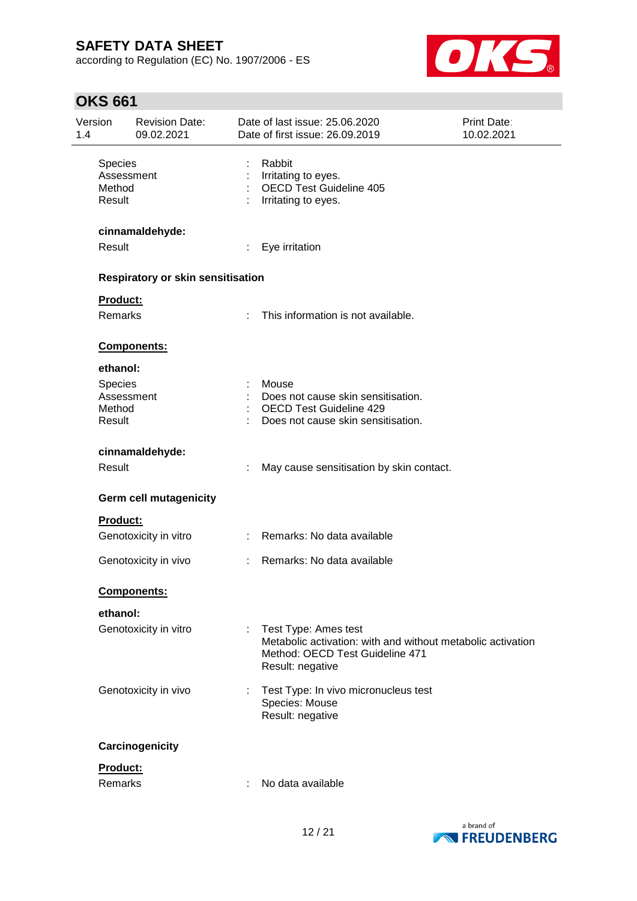according to Regulation (EC) No. 1907/2006 - ES



# **OKS 661**

| Version<br>1.4                          | <b>Revision Date:</b><br>09.02.2021      |      | Date of last issue: 25.06.2020<br>Date of first issue: 26.09.2019                                                                          | Print Date:<br>10.02.2021 |
|-----------------------------------------|------------------------------------------|------|--------------------------------------------------------------------------------------------------------------------------------------------|---------------------------|
| Species<br>Method<br>Result             | Assessment                               |      | Rabbit<br>Irritating to eyes.<br><b>OECD Test Guideline 405</b><br>Irritating to eyes.                                                     |                           |
|                                         | cinnamaldehyde:                          |      |                                                                                                                                            |                           |
| Result                                  |                                          | ÷.   | Eye irritation                                                                                                                             |                           |
|                                         | <b>Respiratory or skin sensitisation</b> |      |                                                                                                                                            |                           |
|                                         | <b>Product:</b><br>Remarks               | t.   | This information is not available.                                                                                                         |                           |
|                                         | Components:                              |      |                                                                                                                                            |                           |
| ethanol:<br>Species<br>Method<br>Result | Assessment                               |      | Mouse<br>Does not cause skin sensitisation.<br><b>OECD Test Guideline 429</b><br>Does not cause skin sensitisation.                        |                           |
| Result                                  | cinnamaldehyde:                          |      | May cause sensitisation by skin contact.                                                                                                   |                           |
|                                         | <b>Germ cell mutagenicity</b>            |      |                                                                                                                                            |                           |
|                                         | <b>Product:</b>                          |      |                                                                                                                                            |                           |
|                                         | Genotoxicity in vitro                    |      | : Remarks: No data available                                                                                                               |                           |
|                                         | Genotoxicity in vivo                     | t in | Remarks: No data available                                                                                                                 |                           |
|                                         | <b>Components:</b>                       |      |                                                                                                                                            |                           |
| ethanol:                                |                                          |      |                                                                                                                                            |                           |
|                                         | Genotoxicity in vitro                    |      | Test Type: Ames test<br>Metabolic activation: with and without metabolic activation<br>Method: OECD Test Guideline 471<br>Result: negative |                           |
|                                         | Genotoxicity in vivo                     |      | : Test Type: In vivo micronucleus test<br>Species: Mouse<br>Result: negative                                                               |                           |
|                                         | Carcinogenicity                          |      |                                                                                                                                            |                           |
|                                         | Product:                                 |      |                                                                                                                                            |                           |
|                                         | Remarks                                  |      | No data available                                                                                                                          |                           |

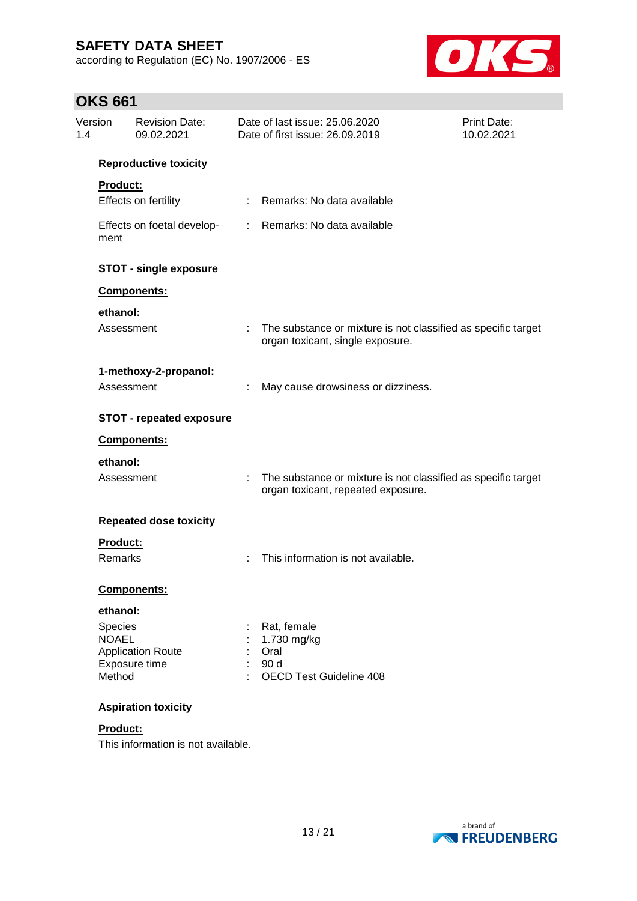according to Regulation (EC) No. 1907/2006 - ES



# **OKS 661**

| Version<br>1.4 | <b>Revision Date:</b><br>09.02.2021 | Date of last issue: 25.06.2020<br>Date of first issue: 26.09.2019                                        | <b>Print Date:</b><br>10.02.2021 |
|----------------|-------------------------------------|----------------------------------------------------------------------------------------------------------|----------------------------------|
|                | <b>Reproductive toxicity</b>        |                                                                                                          |                                  |
|                | Product:                            |                                                                                                          |                                  |
|                | Effects on fertility                | Remarks: No data available                                                                               |                                  |
|                | Effects on foetal develop-<br>ment  | Remarks: No data available<br>÷                                                                          |                                  |
|                | <b>STOT - single exposure</b>       |                                                                                                          |                                  |
|                | Components:                         |                                                                                                          |                                  |
|                | ethanol:                            |                                                                                                          |                                  |
|                | Assessment                          | The substance or mixture is not classified as specific target<br>organ toxicant, single exposure.        |                                  |
|                | 1-methoxy-2-propanol:               |                                                                                                          |                                  |
|                | Assessment                          | May cause drowsiness or dizziness.                                                                       |                                  |
|                | <b>STOT - repeated exposure</b>     |                                                                                                          |                                  |
|                | Components:                         |                                                                                                          |                                  |
|                | ethanol:                            |                                                                                                          |                                  |
|                | Assessment                          | ÷<br>The substance or mixture is not classified as specific target<br>organ toxicant, repeated exposure. |                                  |
|                | <b>Repeated dose toxicity</b>       |                                                                                                          |                                  |
|                | Product:                            |                                                                                                          |                                  |
|                | Remarks                             | This information is not available.                                                                       |                                  |
|                | Components:                         |                                                                                                          |                                  |
|                | ethanol:                            |                                                                                                          |                                  |
|                | Species<br><b>NOAEL</b>             | Rat, female                                                                                              |                                  |
|                | <b>Application Route</b>            | 1.730 mg/kg<br>Oral                                                                                      |                                  |
|                | Exposure time<br>Method             | 90 d<br>OECD Test Guideline 408                                                                          |                                  |
|                | <b>Aspiration toxicity</b>          |                                                                                                          |                                  |

#### **Product:**

This information is not available.

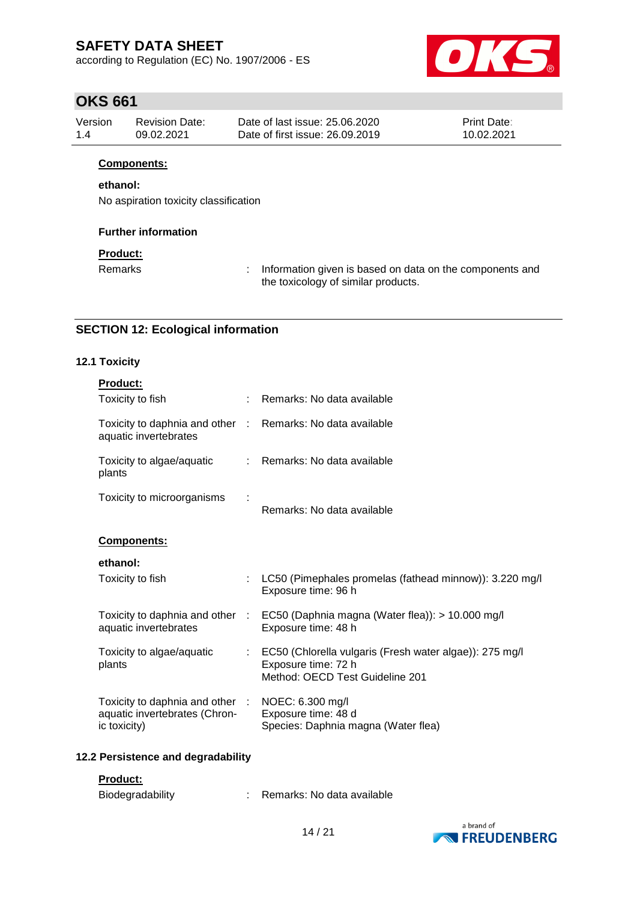according to Regulation (EC) No. 1907/2006 - ES



### **OKS 661**

| Version | Revision Date: | Date of last issue: 25.06.2020  | <b>Print Date:</b> |
|---------|----------------|---------------------------------|--------------------|
| 14      | 09.02.2021     | Date of first issue: 26.09.2019 | 10.02.2021         |

### **Components:**

#### **ethanol:**

No aspiration toxicity classification

#### **Further information**

### **Product:**

Remarks : Information given is based on data on the components and the toxicology of similar products.

### **SECTION 12: Ecological information**

#### **12.1 Toxicity**

| <b>Product:</b>                                                                  |                                                                                                                   |
|----------------------------------------------------------------------------------|-------------------------------------------------------------------------------------------------------------------|
| Toxicity to fish                                                                 | Remarks: No data available                                                                                        |
| Toxicity to daphnia and other :<br>aquatic invertebrates                         | Remarks: No data available                                                                                        |
| Toxicity to algae/aquatic<br>plants                                              | Remarks: No data available                                                                                        |
| Toxicity to microorganisms                                                       | Remarks: No data available                                                                                        |
| <b>Components:</b>                                                               |                                                                                                                   |
| ethanol:                                                                         |                                                                                                                   |
| Toxicity to fish                                                                 | LC50 (Pimephales promelas (fathead minnow)): 3.220 mg/l<br>Exposure time: 96 h                                    |
| Toxicity to daphnia and other :<br>aquatic invertebrates                         | EC50 (Daphnia magna (Water flea)): > 10.000 mg/l<br>Exposure time: 48 h                                           |
| Toxicity to algae/aquatic<br>plants                                              | EC50 (Chlorella vulgaris (Fresh water algae)): 275 mg/l<br>Exposure time: 72 h<br>Method: OECD Test Guideline 201 |
| Toxicity to daphnia and other :<br>aquatic invertebrates (Chron-<br>ic toxicity) | NOEC: 6.300 mg/l<br>Exposure time: 48 d<br>Species: Daphnia magna (Water flea)                                    |

#### **12.2 Persistence and degradability**

#### **Product:**

| Biodegradability |  | Remarks: No data available |
|------------------|--|----------------------------|
|------------------|--|----------------------------|

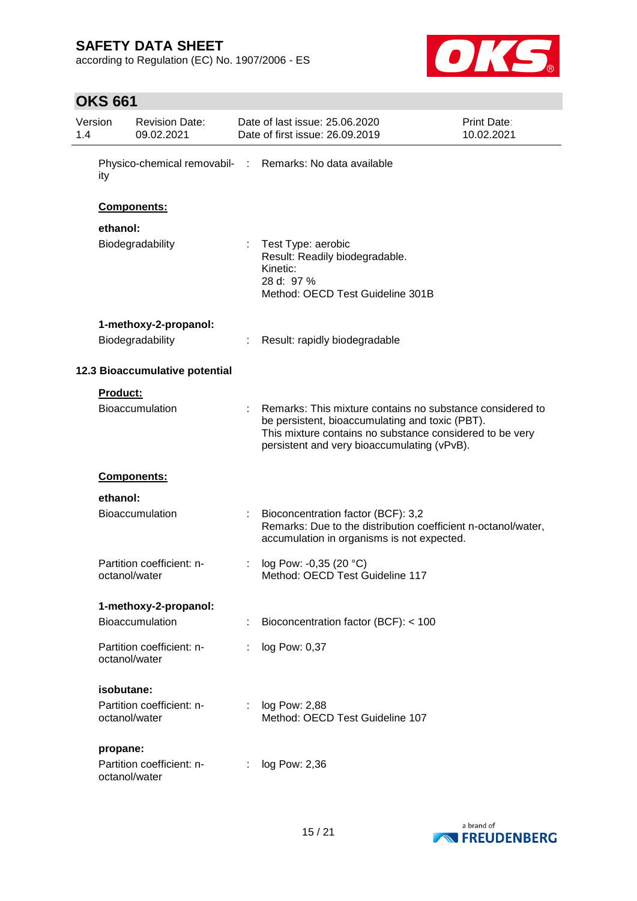according to Regulation (EC) No. 1907/2006 - ES



# **OKS 661**

| Version<br>1.4 |               | <b>Revision Date:</b><br>09.02.2021 | Date of last issue: 25.06.2020<br>Date of first issue: 26.09.2019                                                                                                                                                       | Print Date:<br>10.02.2021 |
|----------------|---------------|-------------------------------------|-------------------------------------------------------------------------------------------------------------------------------------------------------------------------------------------------------------------------|---------------------------|
|                | ity           |                                     | Physico-chemical removabil- : Remarks: No data available                                                                                                                                                                |                           |
|                |               | Components:                         |                                                                                                                                                                                                                         |                           |
|                | ethanol:      |                                     |                                                                                                                                                                                                                         |                           |
|                |               | Biodegradability                    | Test Type: aerobic<br>Result: Readily biodegradable.<br>Kinetic:<br>28 d: 97 %<br>Method: OECD Test Guideline 301B                                                                                                      |                           |
|                |               | 1-methoxy-2-propanol:               |                                                                                                                                                                                                                         |                           |
|                |               | Biodegradability                    | Result: rapidly biodegradable                                                                                                                                                                                           |                           |
|                |               | 12.3 Bioaccumulative potential      |                                                                                                                                                                                                                         |                           |
|                | Product:      |                                     |                                                                                                                                                                                                                         |                           |
|                |               | <b>Bioaccumulation</b>              | Remarks: This mixture contains no substance considered to<br>be persistent, bioaccumulating and toxic (PBT).<br>This mixture contains no substance considered to be very<br>persistent and very bioaccumulating (vPvB). |                           |
|                |               | Components:                         |                                                                                                                                                                                                                         |                           |
|                | ethanol:      |                                     |                                                                                                                                                                                                                         |                           |
|                |               | <b>Bioaccumulation</b>              | Bioconcentration factor (BCF): 3,2<br>Remarks: Due to the distribution coefficient n-octanol/water,<br>accumulation in organisms is not expected.                                                                       |                           |
|                | octanol/water | Partition coefficient: n-           | log Pow: -0,35 (20 °C)<br>Method: OECD Test Guideline 117                                                                                                                                                               |                           |
|                |               | 1-methoxy-2-propanol:               |                                                                                                                                                                                                                         |                           |
|                |               | Bioaccumulation                     | Bioconcentration factor (BCF): < 100                                                                                                                                                                                    |                           |
|                | octanol/water | Partition coefficient: n-           | log Pow: 0,37                                                                                                                                                                                                           |                           |
|                | isobutane:    |                                     |                                                                                                                                                                                                                         |                           |
|                | octanol/water | Partition coefficient: n-           | log Pow: 2,88<br>Method: OECD Test Guideline 107                                                                                                                                                                        |                           |
|                | propane:      |                                     |                                                                                                                                                                                                                         |                           |
|                | octanol/water | Partition coefficient: n-           | log Pow: 2,36                                                                                                                                                                                                           |                           |

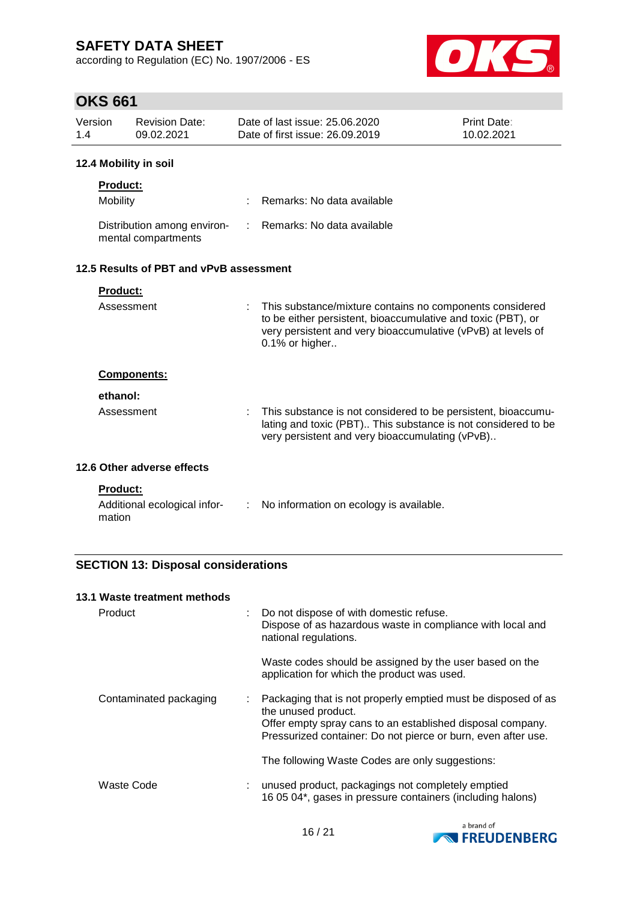according to Regulation (EC) No. 1907/2006 - ES



# **OKS 661**

| Version<br>1.4 |                                         | <b>Revision Date:</b><br>09.02.2021                |    | Date of last issue: 25.06.2020<br>Date of first issue: 26.09.2019                                                                                                                                          | Print Date:<br>10.02.2021 |  |  |  |  |
|----------------|-----------------------------------------|----------------------------------------------------|----|------------------------------------------------------------------------------------------------------------------------------------------------------------------------------------------------------------|---------------------------|--|--|--|--|
|                | 12.4 Mobility in soil                   |                                                    |    |                                                                                                                                                                                                            |                           |  |  |  |  |
|                | <b>Product:</b><br>Mobility             |                                                    |    | Remarks: No data available                                                                                                                                                                                 |                           |  |  |  |  |
|                |                                         | Distribution among environ-<br>mental compartments | t. | Remarks: No data available                                                                                                                                                                                 |                           |  |  |  |  |
|                | 12.5 Results of PBT and vPvB assessment |                                                    |    |                                                                                                                                                                                                            |                           |  |  |  |  |
|                | <b>Product:</b>                         |                                                    |    |                                                                                                                                                                                                            |                           |  |  |  |  |
|                | Assessment                              |                                                    |    | This substance/mixture contains no components considered<br>to be either persistent, bioaccumulative and toxic (PBT), or<br>very persistent and very bioaccumulative (vPvB) at levels of<br>0.1% or higher |                           |  |  |  |  |
|                |                                         | Components:                                        |    |                                                                                                                                                                                                            |                           |  |  |  |  |
|                | ethanol:<br>Assessment                  |                                                    |    | This substance is not considered to be persistent, bioaccumu-<br>lating and toxic (PBT) This substance is not considered to be<br>very persistent and very bioaccumulating (vPvB)                          |                           |  |  |  |  |
|                |                                         | 12.6 Other adverse effects                         |    |                                                                                                                                                                                                            |                           |  |  |  |  |
|                | <b>Product:</b><br>mation               | Additional ecological infor-                       | ÷. | No information on ecology is available.                                                                                                                                                                    |                           |  |  |  |  |

### **SECTION 13: Disposal considerations**

| 13.1 Waste treatment methods |                                                                                                                                                                                                                          |
|------------------------------|--------------------------------------------------------------------------------------------------------------------------------------------------------------------------------------------------------------------------|
| Product                      | Do not dispose of with domestic refuse.<br>÷<br>Dispose of as hazardous waste in compliance with local and<br>national regulations.                                                                                      |
|                              | Waste codes should be assigned by the user based on the<br>application for which the product was used.                                                                                                                   |
| Contaminated packaging       | Packaging that is not properly emptied must be disposed of as<br>÷<br>the unused product.<br>Offer empty spray cans to an established disposal company.<br>Pressurized container: Do not pierce or burn, even after use. |
|                              | The following Waste Codes are only suggestions:                                                                                                                                                                          |
| Waste Code                   | unused product, packagings not completely emptied<br>16 05 04*, gases in pressure containers (including halons)                                                                                                          |

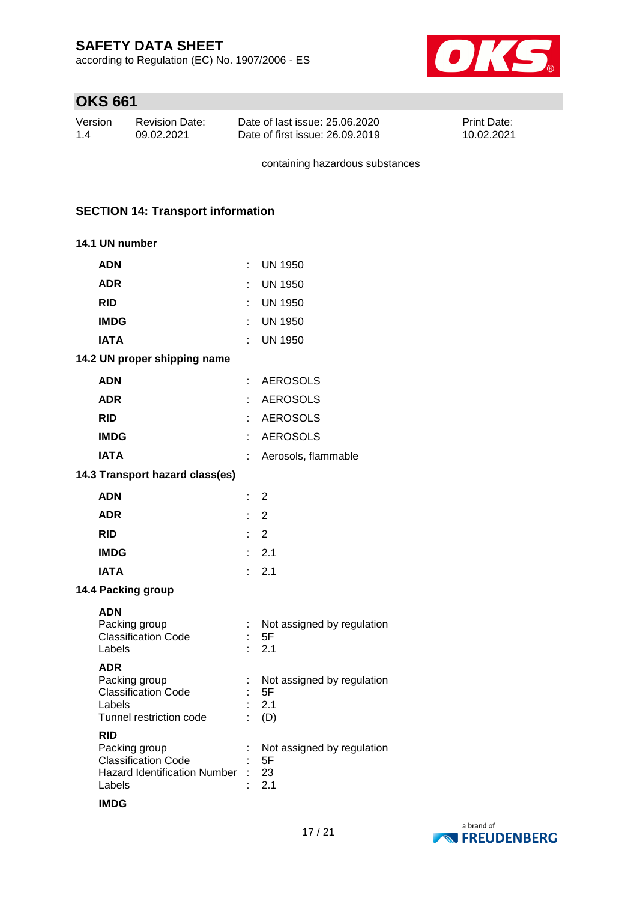according to Regulation (EC) No. 1907/2006 - ES



# **OKS 661**

| Version | <b>Revision Date:</b> | Date of last issue: 25.06.2020  | <b>Print Date:</b> |
|---------|-----------------------|---------------------------------|--------------------|
| 1.4     | 09.02.2021            | Date of first issue: 26,09,2019 | 10.02.2021         |

containing hazardous substances

#### **SECTION 14: Transport information**

#### **14.1 UN number**

| <b>ADN</b>                                                                                                   | t      | <b>UN 1950</b>                                 |
|--------------------------------------------------------------------------------------------------------------|--------|------------------------------------------------|
| <b>ADR</b>                                                                                                   | ÷      | <b>UN 1950</b>                                 |
| <b>RID</b>                                                                                                   | ł.     | UN 1950                                        |
| <b>IMDG</b>                                                                                                  | t      | UN 1950                                        |
| <b>IATA</b>                                                                                                  | ÷.     | <b>UN 1950</b>                                 |
| 14.2 UN proper shipping name                                                                                 |        |                                                |
| <b>ADN</b>                                                                                                   | ÷      | <b>AEROSOLS</b>                                |
| <b>ADR</b>                                                                                                   | ÷      | <b>AEROSOLS</b>                                |
| <b>RID</b>                                                                                                   | ł.     | <b>AEROSOLS</b>                                |
| <b>IMDG</b>                                                                                                  |        | AEROSOLS                                       |
| <b>IATA</b>                                                                                                  | ł.     | Aerosols, flammable                            |
| 14.3 Transport hazard class(es)                                                                              |        |                                                |
| <b>ADN</b>                                                                                                   | ÷      | 2                                              |
| <b>ADR</b>                                                                                                   | ł.     | 2                                              |
| <b>RID</b>                                                                                                   | t.     | 2                                              |
| <b>IMDG</b>                                                                                                  | ÷      | 2.1                                            |
| <b>IATA</b>                                                                                                  | ÷      | 2.1                                            |
| 14.4 Packing group                                                                                           |        |                                                |
| <b>ADN</b><br>Packing group<br><b>Classification Code</b><br>Labels                                          |        | Not assigned by regulation<br>5F<br>2.1        |
| <b>ADR</b><br>Packing group<br><b>Classification Code</b><br>Labels<br>Tunnel restriction code<br><b>RID</b> | t<br>ł | Not assigned by regulation<br>5F<br>2.1<br>(D) |
| Packing group<br><b>Classification Code</b><br><b>Hazard Identification Number</b><br>Labels                 |        | Not assigned by regulation<br>5F<br>23<br>2.1  |

#### **IMDG**

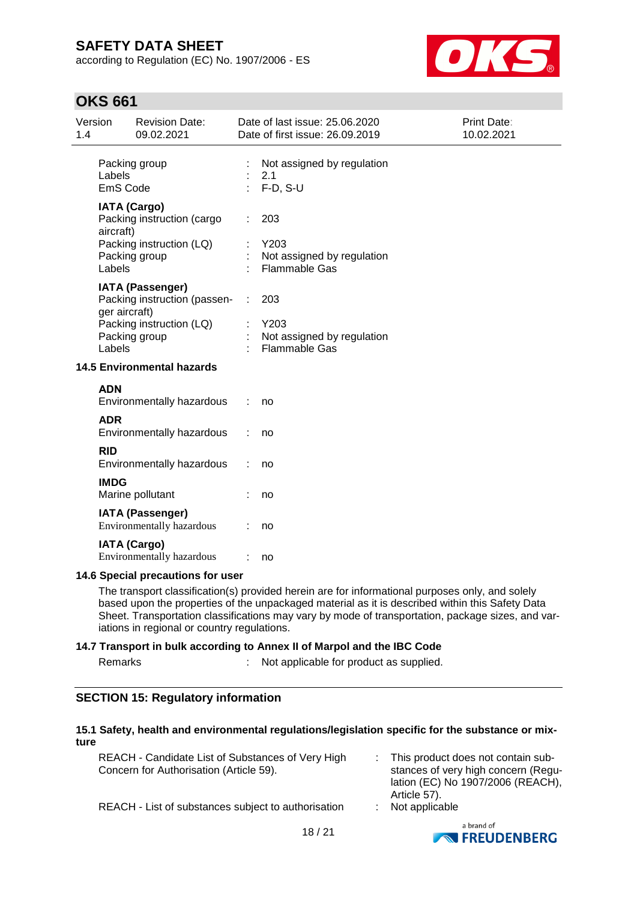according to Regulation (EC) No. 1907/2006 - ES



### **OKS 661**

| Version<br>1.4 |                                                                | <b>Revision Date:</b><br>09.02.2021                     |   | Date of last issue: 25.06.2020<br>Date of first issue: 26.09.2019 | Print Date:<br>10.02.2021 |  |
|----------------|----------------------------------------------------------------|---------------------------------------------------------|---|-------------------------------------------------------------------|---------------------------|--|
|                | Labels<br>EmS Code                                             | Packing group                                           |   | Not assigned by regulation<br>2.1<br>$F-D$ , S-U                  |                           |  |
|                | <b>IATA (Cargo)</b><br>Packing instruction (cargo<br>aircraft) |                                                         |   | 203                                                               |                           |  |
|                | Labels                                                         | Packing instruction (LQ)<br>Packing group               |   | Y203<br>Not assigned by regulation<br><b>Flammable Gas</b>        |                           |  |
|                | ger aircraft)                                                  | <b>IATA (Passenger)</b><br>Packing instruction (passen- | ÷ | 203                                                               |                           |  |
|                | Labels                                                         | Packing instruction (LQ)<br>Packing group               |   | Y203<br>Not assigned by regulation<br><b>Flammable Gas</b>        |                           |  |
|                | <b>14.5 Environmental hazards</b>                              |                                                         |   |                                                                   |                           |  |
|                | <b>ADN</b>                                                     | Environmentally hazardous                               |   | no                                                                |                           |  |
|                | <b>ADR</b>                                                     | Environmentally hazardous                               |   | no                                                                |                           |  |
|                | <b>RID</b>                                                     | Environmentally hazardous                               |   | no                                                                |                           |  |
|                | <b>IMDG</b>                                                    | Marine pollutant                                        |   | no                                                                |                           |  |
|                |                                                                | <b>IATA (Passenger)</b><br>Environmentally hazardous    |   | no                                                                |                           |  |
|                |                                                                | <b>IATA (Cargo)</b><br><b>Environmentally hazardous</b> |   | no                                                                |                           |  |
|                | 14.6 Special precautions for user                              |                                                         |   |                                                                   |                           |  |

The transport classification(s) provided herein are for informational purposes only, and solely based upon the properties of the unpackaged material as it is described within this Safety Data Sheet. Transportation classifications may vary by mode of transportation, package sizes, and variations in regional or country regulations.

#### **14.7 Transport in bulk according to Annex II of Marpol and the IBC Code**

Remarks : Not applicable for product as supplied.

### **SECTION 15: Regulatory information**

#### **15.1 Safety, health and environmental regulations/legislation specific for the substance or mixture**

| REACH - Candidate List of Substances of Very High<br>Concern for Authorisation (Article 59). | : This product does not contain sub-<br>stances of very high concern (Regu-<br>lation (EC) No 1907/2006 (REACH),<br>Article 57). |
|----------------------------------------------------------------------------------------------|----------------------------------------------------------------------------------------------------------------------------------|
| REACH - List of substances subject to authorisation                                          | $:$ Not applicable                                                                                                               |

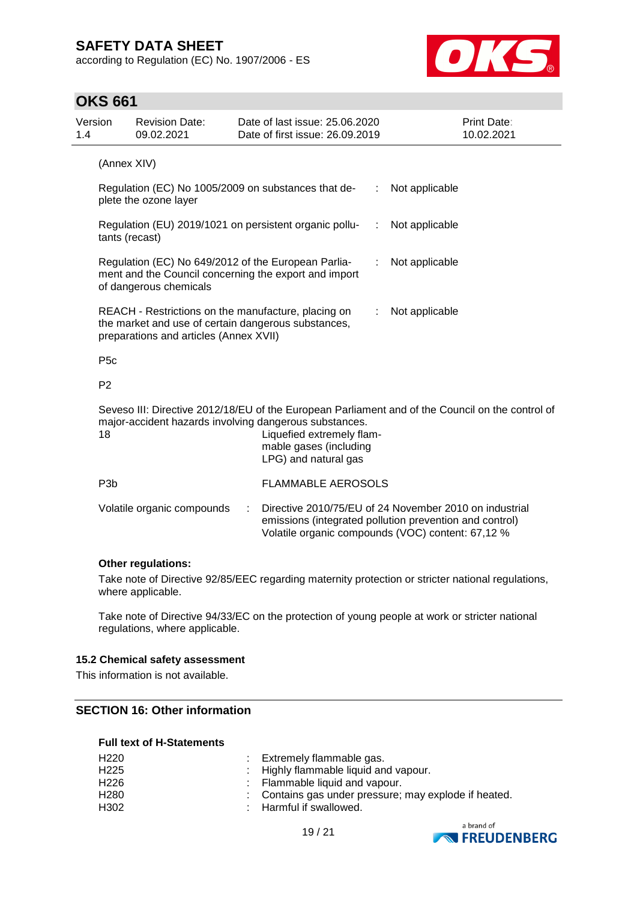according to Regulation (EC) No. 1907/2006 - ES



### **OKS 661**

| Version<br>1.4 |                                                                                                                                                                                                                                                 | <b>Revision Date:</b><br>09.02.2021                                                                                                    |                | Date of last issue: 25.06.2020<br>Date of first issue: 26.09.2019 |  | <b>Print Date:</b><br>10.02.2021                                                                                                                                       |
|----------------|-------------------------------------------------------------------------------------------------------------------------------------------------------------------------------------------------------------------------------------------------|----------------------------------------------------------------------------------------------------------------------------------------|----------------|-------------------------------------------------------------------|--|------------------------------------------------------------------------------------------------------------------------------------------------------------------------|
| (Annex XIV)    |                                                                                                                                                                                                                                                 |                                                                                                                                        |                |                                                                   |  |                                                                                                                                                                        |
|                |                                                                                                                                                                                                                                                 | Regulation (EC) No 1005/2009 on substances that de-<br>plete the ozone layer                                                           | Not applicable |                                                                   |  |                                                                                                                                                                        |
|                | tants (recast)                                                                                                                                                                                                                                  | Regulation (EU) 2019/1021 on persistent organic pollu-                                                                                 |                | Not applicable                                                    |  |                                                                                                                                                                        |
|                |                                                                                                                                                                                                                                                 | Regulation (EC) No 649/2012 of the European Parlia-<br>ment and the Council concerning the export and import<br>of dangerous chemicals |                | Not applicable                                                    |  |                                                                                                                                                                        |
|                | REACH - Restrictions on the manufacture, placing on<br>the market and use of certain dangerous substances,<br>preparations and articles (Annex XVII)                                                                                            |                                                                                                                                        |                |                                                                   |  | Not applicable                                                                                                                                                         |
|                | P <sub>5c</sub>                                                                                                                                                                                                                                 |                                                                                                                                        |                |                                                                   |  |                                                                                                                                                                        |
|                | P <sub>2</sub>                                                                                                                                                                                                                                  |                                                                                                                                        |                |                                                                   |  |                                                                                                                                                                        |
|                | Seveso III: Directive 2012/18/EU of the European Parliament and of the Council on the control of<br>major-accident hazards involving dangerous substances.<br>18<br>Liquefied extremely flam-<br>mable gases (including<br>LPG) and natural gas |                                                                                                                                        |                |                                                                   |  |                                                                                                                                                                        |
|                | P <sub>3</sub> b                                                                                                                                                                                                                                |                                                                                                                                        |                | <b>FLAMMABLE AEROSOLS</b>                                         |  |                                                                                                                                                                        |
|                |                                                                                                                                                                                                                                                 | Volatile organic compounds                                                                                                             |                |                                                                   |  | Directive 2010/75/EU of 24 November 2010 on industrial<br>emissions (integrated pollution prevention and control)<br>Volatile organic compounds (VOC) content: 67,12 % |
|                |                                                                                                                                                                                                                                                 | <b>Other regulations:</b>                                                                                                              |                |                                                                   |  |                                                                                                                                                                        |

Take note of Directive 92/85/EEC regarding maternity protection or stricter national regulations, where applicable.

Take note of Directive 94/33/EC on the protection of young people at work or stricter national regulations, where applicable.

#### **15.2 Chemical safety assessment**

This information is not available.

#### **SECTION 16: Other information**

#### **Full text of H-Statements**

| H220 | : Extremely flammable gas.                            |
|------|-------------------------------------------------------|
| H225 | : Highly flammable liquid and vapour.                 |
| H226 | : Flammable liquid and vapour.                        |
| H280 | : Contains gas under pressure; may explode if heated. |
| H302 | : Harmful if swallowed.                               |
|      |                                                       |



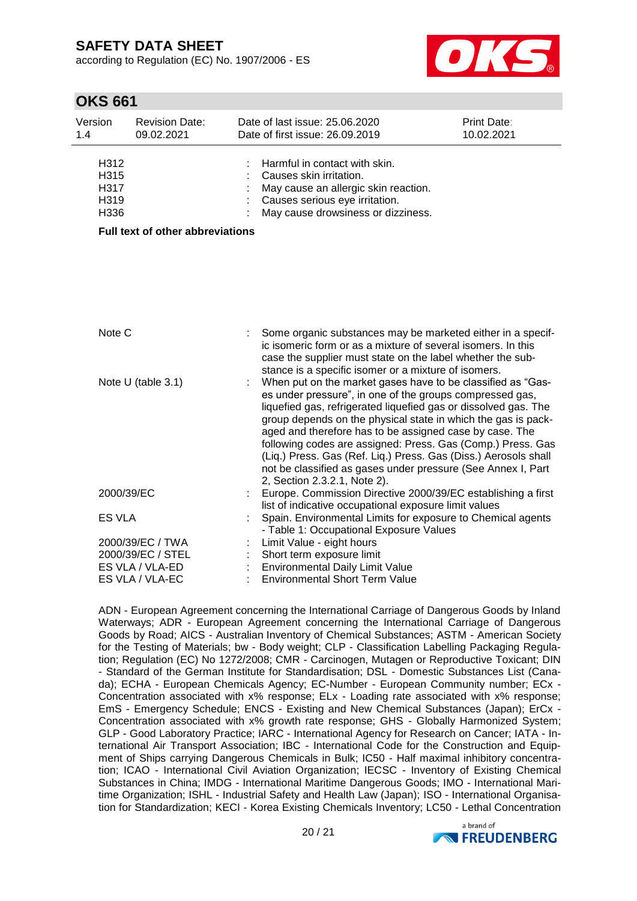according to Regulation (EC) No. 1907/2006 - ES



## **OKS 661**

| Version<br>1.4                       | <b>Revision Date:</b><br>09.02.2021     | Date of last issue: 25.06.2020<br>Date of first issue: 26.09.2019                                                                                                                                                                                                                                                                                                                                                                                                                                           | <b>Print Date:</b><br>10.02.2021 |
|--------------------------------------|-----------------------------------------|-------------------------------------------------------------------------------------------------------------------------------------------------------------------------------------------------------------------------------------------------------------------------------------------------------------------------------------------------------------------------------------------------------------------------------------------------------------------------------------------------------------|----------------------------------|
| H312<br>H315<br>H317<br>H319<br>H336 |                                         | Harmful in contact with skin.<br>Causes skin irritation.<br>May cause an allergic skin reaction.<br>Causes serious eye irritation.<br>May cause drowsiness or dizziness.                                                                                                                                                                                                                                                                                                                                    |                                  |
|                                      | <b>Full text of other abbreviations</b> |                                                                                                                                                                                                                                                                                                                                                                                                                                                                                                             |                                  |
|                                      |                                         |                                                                                                                                                                                                                                                                                                                                                                                                                                                                                                             |                                  |
| Note C                               |                                         | Some organic substances may be marketed either in a specif-<br>ic isomeric form or as a mixture of several isomers. In this                                                                                                                                                                                                                                                                                                                                                                                 |                                  |
|                                      | Note U (table 3.1)                      | case the supplier must state on the label whether the sub-<br>stance is a specific isomer or a mixture of isomers.<br>When put on the market gases have to be classified as "Gas-<br>es under pressure", in one of the groups compressed gas,<br>liquefied gas, refrigerated liquefied gas or dissolved gas. The<br>group depends on the physical state in which the gas is pack-<br>aged and therefore has to be assigned case by case. The<br>following codes are assigned: Press. Gas (Comp.) Press. Gas |                                  |
|                                      |                                         | (Liq.) Press. Gas (Ref. Liq.) Press. Gas (Diss.) Aerosols shall<br>not be classified as gases under pressure (See Annex I, Part<br>2, Section 2.3.2.1, Note 2).                                                                                                                                                                                                                                                                                                                                             |                                  |
|                                      | 2000/39/EC                              | Europe. Commission Directive 2000/39/EC establishing a first<br>list of indicative occupational exposure limit values                                                                                                                                                                                                                                                                                                                                                                                       |                                  |
| <b>ES VLA</b>                        |                                         | Spain. Environmental Limits for exposure to Chemical agents<br>- Table 1: Occupational Exposure Values                                                                                                                                                                                                                                                                                                                                                                                                      |                                  |
|                                      | 2000/39/EC / TWA                        | Limit Value - eight hours                                                                                                                                                                                                                                                                                                                                                                                                                                                                                   |                                  |
|                                      | 2000/39/EC / STEL                       | Short term exposure limit                                                                                                                                                                                                                                                                                                                                                                                                                                                                                   |                                  |
|                                      | ES VLA / VLA-ED                         | <b>Environmental Daily Limit Value</b>                                                                                                                                                                                                                                                                                                                                                                                                                                                                      |                                  |
|                                      | ES VLA / VLA-EC                         | <b>Environmental Short Term Value</b>                                                                                                                                                                                                                                                                                                                                                                                                                                                                       |                                  |

ADN - European Agreement concerning the International Carriage of Dangerous Goods by Inland Waterways; ADR - European Agreement concerning the International Carriage of Dangerous Goods by Road; AICS - Australian Inventory of Chemical Substances; ASTM - American Society for the Testing of Materials; bw - Body weight; CLP - Classification Labelling Packaging Regulation; Regulation (EC) No 1272/2008; CMR - Carcinogen, Mutagen or Reproductive Toxicant; DIN - Standard of the German Institute for Standardisation; DSL - Domestic Substances List (Canada); ECHA - European Chemicals Agency; EC-Number - European Community number; ECx - Concentration associated with x% response; ELx - Loading rate associated with x% response; EmS - Emergency Schedule; ENCS - Existing and New Chemical Substances (Japan); ErCx - Concentration associated with x% growth rate response; GHS - Globally Harmonized System; GLP - Good Laboratory Practice; IARC - International Agency for Research on Cancer; IATA - International Air Transport Association; IBC - International Code for the Construction and Equipment of Ships carrying Dangerous Chemicals in Bulk; IC50 - Half maximal inhibitory concentration; ICAO - International Civil Aviation Organization; IECSC - Inventory of Existing Chemical Substances in China; IMDG - International Maritime Dangerous Goods; IMO - International Maritime Organization; ISHL - Industrial Safety and Health Law (Japan); ISO - International Organisation for Standardization; KECI - Korea Existing Chemicals Inventory; LC50 - Lethal Concentration